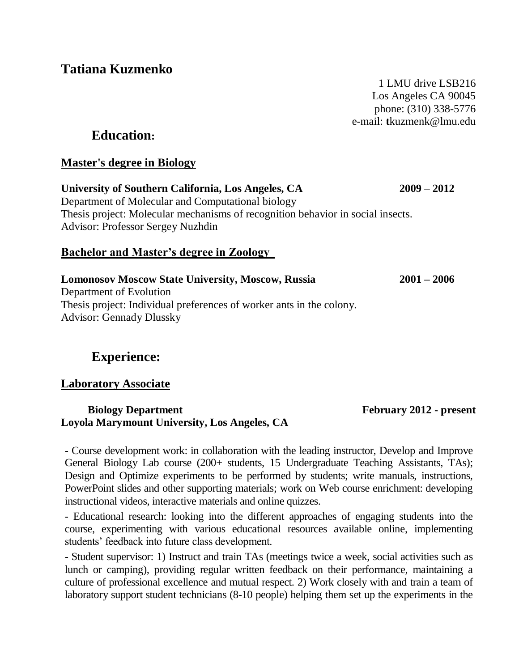**Tatiana Kuzmenko**

1 LMU drive LSB216 Los Angeles CA 90045 phone: (310) 338-5776 e-mail: **t**kuzmenk@lmu.edu

## **Education:**

### **Master's degree in Biology**

**University of Southern California, Los Angeles, CA 2009** – **2012**  Department of Molecular and Computational biology Thesis project: Molecular mechanisms of recognition behavior in social insects. Advisor: Professor Sergey Nuzhdin

### **Bachelor and Master's degree in Zoology**

**Lomonosov Moscow State University, Moscow, Russia 2001 – 2006** Department of Evolution Thesis project: Individual preferences of worker ants in the colony. Advisor: Gennady Dlussky

# **Experience:**

#### **Laboratory Associate**

#### **Biology Department February 2012 - present Loyola Marymount University, Los Angeles, CA**

- Course development work: in collaboration with the leading instructor, Develop and Improve General Biology Lab course (200+ students, 15 Undergraduate Teaching Assistants, TAs); Design and Optimize experiments to be performed by students; write manuals, instructions, PowerPoint slides and other supporting materials; work on Web course enrichment: developing instructional videos, interactive materials and online quizzes.

- Educational research: looking into the different approaches of engaging students into the course, experimenting with various educational resources available online, implementing students' feedback into future class development.

- Student supervisor: 1) Instruct and train TAs (meetings twice a week, social activities such as lunch or camping), providing regular written feedback on their performance, maintaining a culture of professional excellence and mutual respect. 2) Work closely with and train a team of laboratory support student technicians (8-10 people) helping them set up the experiments in the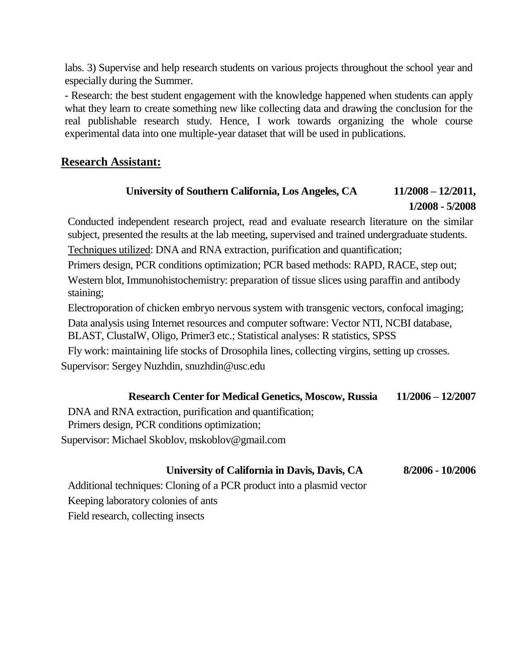labs. 3) Supervise and help research students on various projects throughout the school year and especially during the Summer.

- Research: the best student engagement with the knowledge happened when students can apply what they learn to create something new like collecting data and drawing the conclusion for the real publishable research study. Hence, I work towards organizing the whole course experimental data into one multiple-year dataset that will be used in publications.

### **Research Assistant:**

## **University of Southern California, Los Angeles, CA 11/2008 – 12/2011, 1/2008 - 5/2008**

Conducted independent research project, read and evaluate research literature on the similar subject, presented the results at the lab meeting, supervised and trained undergraduate students.

Techniques utilized: DNA and RNA extraction, purification and quantification;

Primers design, PCR conditions optimization; PCR based methods: RAPD, RACE, step out;

Western blot, Immunohistochemistry: preparation of tissue slices using paraffin and antibody staining;

Electroporation of chicken embryo nervous system with transgenic vectors, confocal imaging;

Data analysis using Internet resources and computer software: Vector NTI, NCBI database, BLAST, ClustalW, Oligo, Primer3 etc.; Statistical analyses: R statistics, SPSS

Fly work: maintaining life stocks of Drosophila lines, collecting virgins, setting up crosses. Supervisor: Sergey Nuzhdin, [snuzhdin@usc.edu](mailto:snuzhdin@usc.edu)

#### **Research Center for Medical Genetics, Moscow, Russia 11/2006 – 12/2007**

DNA and RNA extraction, purification and quantification;

Primers design, PCR conditions optimization;

Supervisor: Michael Skoblov, mskoblov@gmail.com

#### **University of California in Davis, Davis, CA 8/2006 - 10/2006**

Additional techniques: Cloning of a PCR product into a plasmid vector Keeping laboratory colonies of ants Field research, collecting insects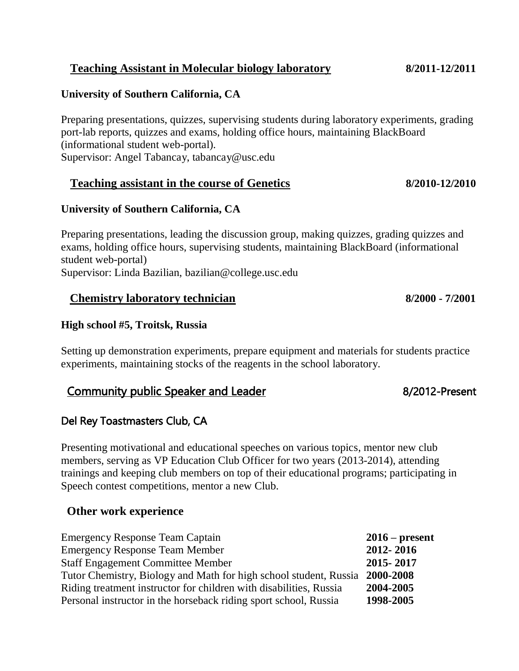## **Teaching Assistant in Molecular biology laboratory 8/2011-12/2011**

#### **University of Southern California, CA**

Preparing presentations, quizzes, supervising students during laboratory experiments, grading port-lab reports, quizzes and exams, holding office hours, maintaining BlackBoard (informational student web-portal). Supervisor: Angel Tabancay, [tabancay@usc.edu](mailto:tabancay@usc.edu)

#### **Teaching assistant in the course of Genetics 8/2010-12/2010**

#### **University of Southern California, CA**

Preparing presentations, leading the discussion group, making quizzes, grading quizzes and exams, holding office hours, supervising students, maintaining BlackBoard (informational student web-portal)

Supervisor: Linda Bazilian, [bazilian@college.usc.edu](mailto:bazilian@college.usc.edu)

### **Chemistry laboratory technician 8/2000 - 7/2001**

#### **High school #5, Troitsk, Russia**

Setting up demonstration experiments, prepare equipment and materials for students practice experiments, maintaining stocks of the reagents in the school laboratory.

## Community public Speaker and Leader 6 and 100 million 8/2012-Present

#### Del Rey Toastmasters Club, CA

Presenting motivational and educational speeches on various topics, mentor new club members, serving as VP Education Club Officer for two years (2013-2014), attending trainings and keeping club members on top of their educational programs; participating in Speech contest competitions, mentor a new Club.

#### **Other work experience**

| <b>Emergency Response Team Captain</b>                             | $2016$ – present |
|--------------------------------------------------------------------|------------------|
| <b>Emergency Response Team Member</b>                              | 2012-2016        |
| <b>Staff Engagement Committee Member</b>                           | 2015-2017        |
| Tutor Chemistry, Biology and Math for high school student, Russia  | 2000-2008        |
| Riding treatment instructor for children with disabilities, Russia | 2004-2005        |
| Personal instructor in the horseback riding sport school, Russia   | 1998-2005        |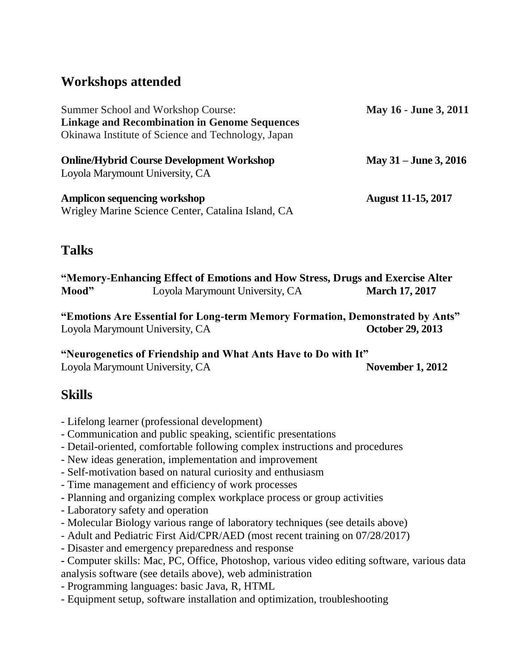# **Workshops attended**

| Summer School and Workshop Course:                   | May 16 - June 3, 2011     |
|------------------------------------------------------|---------------------------|
| <b>Linkage and Recombination in Genome Sequences</b> |                           |
| Okinawa Institute of Science and Technology, Japan   |                           |
| <b>Online/Hybrid Course Development Workshop</b>     | May $31 -$ June 3, 2016   |
| Loyola Marymount University, CA                      |                           |
| <b>Amplicon sequencing workshop</b>                  | <b>August 11-15, 2017</b> |
| Wrigley Marine Science Center, Catalina Island, CA   |                           |

# **Talks**

**"Memory-Enhancing Effect of Emotions and How Stress, Drugs and Exercise Alter Mood"** Loyola Marymount University, CA **March 17, 2017** 

**"Emotions Are Essential for Long-term Memory Formation, Demonstrated by Ants"** Loyola Marymount University, CA **October 29, 2013** 

**"Neurogenetics of Friendship and What Ants Have to Do with It"** Loyola Marymount University, CA **November 1, 2012** 

# **Skills**

- Lifelong learner (professional development)
- Communication and public speaking, scientific presentations
- Detail-oriented, comfortable following complex instructions and procedures
- New ideas generation, implementation and improvement
- Self-motivation based on natural curiosity and enthusiasm
- Time management and efficiency of work processes
- Planning and organizing complex workplace process or group activities
- Laboratory safety and operation
- Molecular Biology various range of laboratory techniques (see details above)
- Adult and Pediatric First Aid/CPR/AED (most recent training on 07/28/2017)
- Disaster and emergency preparedness and response
- **-** Computer skills: Mac, PC, Office, Photoshop, various video editing software, various data analysis software (see details above), web administration
- Programming languages: basic Java, R, HTML
- Equipment setup, software installation and optimization, troubleshooting